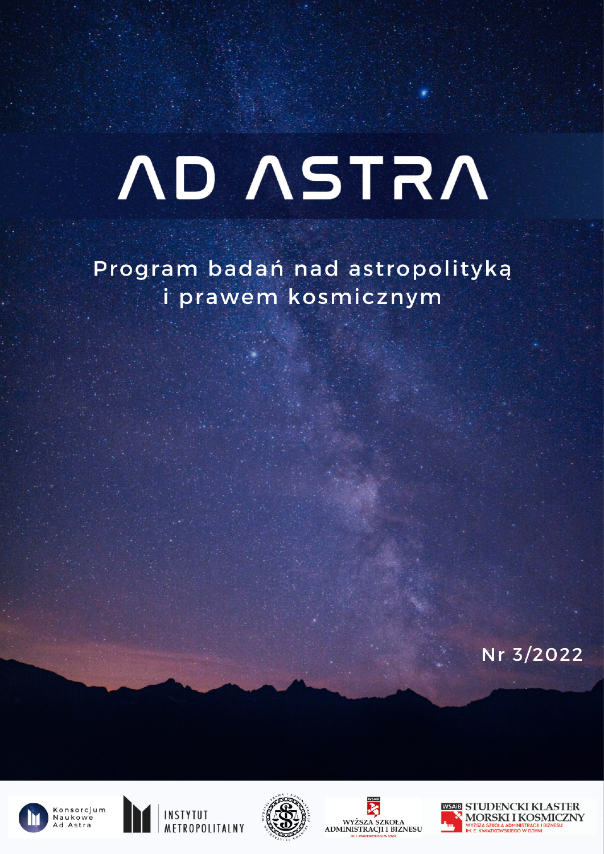# **ND ASTRA**

Program badań nad astropolityką i prawem kosmicznym

Nr. 3/2022











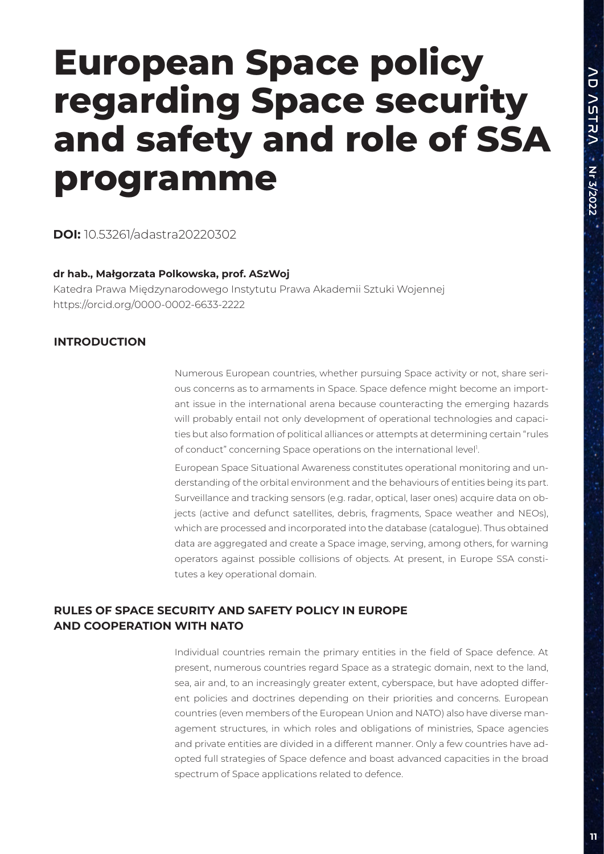# **European Space policy regarding Space security and safety and role of SSA programme**

**DOI:** 10.53261/adastra20220302

### **dr hab., Małgorzata Polkowska, prof. ASzWoj**

Katedra Prawa Międzynarodowego Instytutu Prawa Akademii Sztuki Wojennej https://orcid.org/0000-0002-6633-2222

# **INTRODUCTION**

Numerous European countries, whether pursuing Space activity or not, share serious concerns as to armaments in Space. Space defence might become an important issue in the international arena because counteracting the emerging hazards will probably entail not only development of operational technologies and capacities but also formation of political alliances or attempts at determining certain "rules of conduct" concerning Space operations on the international level<sup>1</sup>.

European Space Situational Awareness constitutes operational monitoring and understanding of the orbital environment and the behaviours of entities being its part. Surveillance and tracking sensors (e.g. radar, optical, laser ones) acquire data on objects (active and defunct satellites, debris, fragments, Space weather and NEOs), which are processed and incorporated into the database (catalogue). Thus obtained data are aggregated and create a Space image, serving, among others, for warning operators against possible collisions of objects. At present, in Europe SSA constitutes a key operational domain.

# **RULES OF SPACE SECURITY AND SAFETY POLICY IN EUROPE AND COOPERATION WITH NATO**

Individual countries remain the primary entities in the field of Space defence. At present, numerous countries regard Space as a strategic domain, next to the land, sea, air and, to an increasingly greater extent, cyberspace, but have adopted different policies and doctrines depending on their priorities and concerns. European countries (even members of the European Union and NATO) also have diverse management structures, in which roles and obligations of ministries, Space agencies and private entities are divided in a different manner. Only a few countries have adopted full strategies of Space defence and boast advanced capacities in the broad spectrum of Space applications related to defence.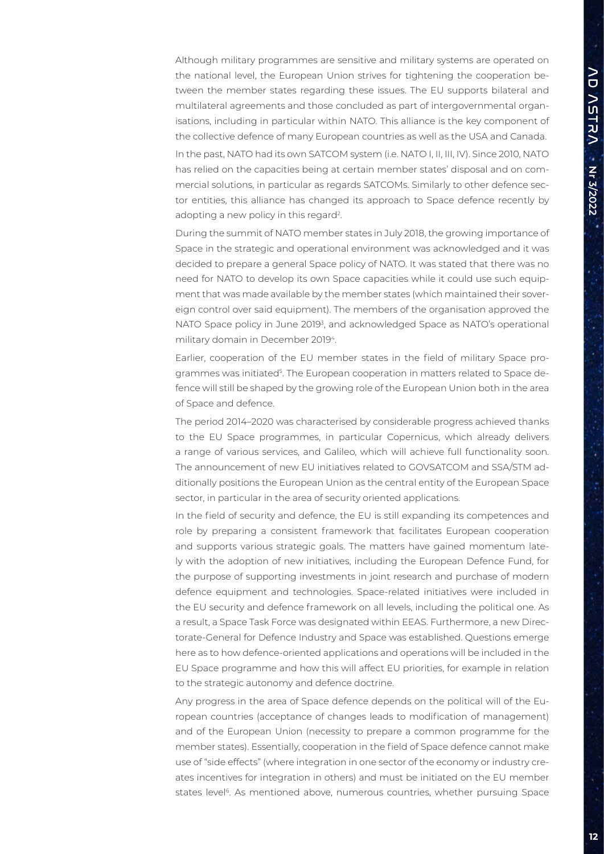Although military programmes are sensitive and military systems are operated on the national level, the European Union strives for tightening the cooperation between the member states regarding these issues. The EU supports bilateral and multilateral agreements and those concluded as part of intergovernmental organisations, including in particular within NATO. This alliance is the key component of the collective defence of many European countries as well as the USA and Canada. In the past, NATO had its own SATCOM system (i.e. NATO I, II, III, IV). Since 2010, NATO has relied on the capacities being at certain member states' disposal and on commercial solutions, in particular as regards SATCOMs. Similarly to other defence sector entities, this alliance has changed its approach to Space defence recently by adopting a new policy in this regard<sup>2</sup>.

During the summit of NATO member states in July 2018, the growing importance of Space in the strategic and operational environment was acknowledged and it was decided to prepare a general Space policy of NATO. It was stated that there was no need for NATO to develop its own Space capacities while it could use such equipment that was made available by the member states (which maintained their sovereign control over said equipment). The members of the organisation approved the NATO Space policy in June 2019<sup>3</sup>, and acknowledged Space as NATO's operational military domain in December 2019<sup>4</sup>.

Earlier, cooperation of the EU member states in the field of military Space programmes was initiated<sup>5</sup>. The European cooperation in matters related to Space defence will still be shaped by the growing role of the European Union both in the area of Space and defence.

The period 2014–2020 was characterised by considerable progress achieved thanks to the EU Space programmes, in particular Copernicus, which already delivers a range of various services, and Galileo, which will achieve full functionality soon. The announcement of new EU initiatives related to GOVSATCOM and SSA/STM additionally positions the European Union as the central entity of the European Space sector, in particular in the area of security oriented applications.

In the field of security and defence, the EU is still expanding its competences and role by preparing a consistent framework that facilitates European cooperation and supports various strategic goals. The matters have gained momentum lately with the adoption of new initiatives, including the European Defence Fund, for the purpose of supporting investments in joint research and purchase of modern defence equipment and technologies. Space-related initiatives were included in the EU security and defence framework on all levels, including the political one. As a result, a Space Task Force was designated within EEAS. Furthermore, a new Directorate-General for Defence Industry and Space was established. Questions emerge here as to how defence-oriented applications and operations will be included in the EU Space programme and how this will affect EU priorities, for example in relation to the strategic autonomy and defence doctrine.

Any progress in the area of Space defence depends on the political will of the European countries (acceptance of changes leads to modification of management) and of the European Union (necessity to prepare a common programme for the member states). Essentially, cooperation in the field of Space defence cannot make use of "side effects" (where integration in one sector of the economy or industry creates incentives for integration in others) and must be initiated on the EU member states level<sup>6</sup>. As mentioned above, numerous countries, whether pursuing Space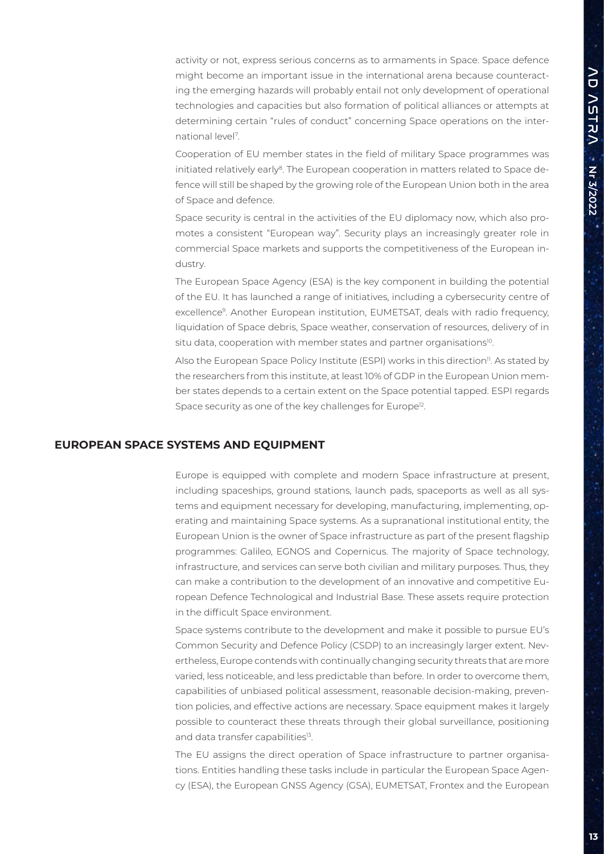activity or not, express serious concerns as to armaments in Space. Space defence might become an important issue in the international arena because counteracting the emerging hazards will probably entail not only development of operational technologies and capacities but also formation of political alliances or attempts at determining certain "rules of conduct" concerning Space operations on the international level7 .

Cooperation of EU member states in the field of military Space programmes was initiated relatively early<sup>8</sup>. The European cooperation in matters related to Space defence will still be shaped by the growing role of the European Union both in the area of Space and defence.

Space security is central in the activities of the EU diplomacy now, which also promotes a consistent "European way". Security plays an increasingly greater role in commercial Space markets and supports the competitiveness of the European industry.

The European Space Agency (ESA) is the key component in building the potential of the EU. It has launched a range of initiatives, including a cybersecurity centre of excellence9. Another European institution, EUMETSAT, deals with radio frequency, liquidation of Space debris, Space weather, conservation of resources, delivery of in situ data, cooperation with member states and partner organisations<sup>10</sup>.

Also the European Space Policy Institute (ESPI) works in this direction<sup>11</sup>. As stated by the researchers from this institute, at least 10% of GDP in the European Union member states depends to a certain extent on the Space potential tapped. ESPI regards Space security as one of the key challenges for Europe<sup>12</sup>.

#### **EUROPEAN SPACE SYSTEMS AND EQUIPMENT**

Europe is equipped with complete and modern Space infrastructure at present, including spaceships, ground stations, launch pads, spaceports as well as all systems and equipment necessary for developing, manufacturing, implementing, operating and maintaining Space systems. As a supranational institutional entity, the European Union is the owner of Space infrastructure as part of the present flagship programmes: Galileo, EGNOS and Copernicus. The majority of Space technology, infrastructure, and services can serve both civilian and military purposes. Thus, they can make a contribution to the development of an innovative and competitive European Defence Technological and Industrial Base. These assets require protection in the difficult Space environment.

Space systems contribute to the development and make it possible to pursue EU's Common Security and Defence Policy (CSDP) to an increasingly larger extent. Nevertheless, Europe contends with continually changing security threats that are more varied, less noticeable, and less predictable than before. In order to overcome them, capabilities of unbiased political assessment, reasonable decision-making, prevention policies, and effective actions are necessary. Space equipment makes it largely possible to counteract these threats through their global surveillance, positioning and data transfer capabilities<sup>13</sup>.

The EU assigns the direct operation of Space infrastructure to partner organisations. Entities handling these tasks include in particular the European Space Agency (ESA), the European GNSS Agency (GSA), EUMETSAT, Frontex and the European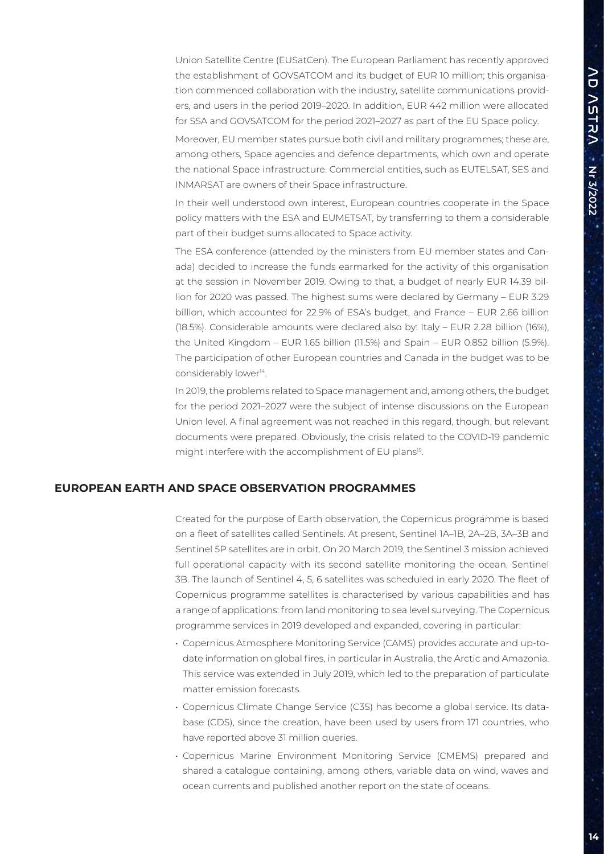Union Satellite Centre (EUSatCen). The European Parliament has recently approved the establishment of GOVSATCOM and its budget of EUR 10 million; this organisation commenced collaboration with the industry, satellite communications providers, and users in the period 2019–2020. In addition, EUR 442 million were allocated for SSA and GOVSATCOM for the period 2021–2027 as part of the EU Space policy.

Moreover, EU member states pursue both civil and military programmes; these are, among others, Space agencies and defence departments, which own and operate the national Space infrastructure. Commercial entities, such as EUTELSAT, SES and INMARSAT are owners of their Space infrastructure.

In their well understood own interest, European countries cooperate in the Space policy matters with the ESA and EUMETSAT, by transferring to them a considerable part of their budget sums allocated to Space activity.

The ESA conference (attended by the ministers from EU member states and Canada) decided to increase the funds earmarked for the activity of this organisation at the session in November 2019. Owing to that, a budget of nearly EUR 14.39 billion for 2020 was passed. The highest sums were declared by Germany – EUR 3.29 billion, which accounted for 22.9% of ESA's budget, and France – EUR 2.66 billion (18.5%). Considerable amounts were declared also by: Italy – EUR 2.28 billion (16%), the United Kingdom – EUR 1.65 billion (11.5%) and Spain – EUR 0.852 billion (5.9%). The participation of other European countries and Canada in the budget was to be considerably lower<sup>14</sup>.

In 2019, the problems related to Space management and, among others, the budget for the period 2021–2027 were the subject of intense discussions on the European Union level. A final agreement was not reached in this regard, though, but relevant documents were prepared. Obviously, the crisis related to the COVID-19 pandemic might interfere with the accomplishment of EU plans<sup>15</sup>.

#### **EUROPEAN EARTH AND SPACE OBSERVATION PROGRAMMES**

Created for the purpose of Earth observation, the Copernicus programme is based on a fleet of satellites called Sentinels. At present, Sentinel 1A–1B, 2A–2B, 3A–3B and Sentinel 5P satellites are in orbit. On 20 March 2019, the Sentinel 3 mission achieved full operational capacity with its second satellite monitoring the ocean, Sentinel 3B. The launch of Sentinel 4, 5, 6 satellites was scheduled in early 2020. The fleet of Copernicus programme satellites is characterised by various capabilities and has a range of applications: from land monitoring to sea level surveying. The Copernicus programme services in 2019 developed and expanded, covering in particular:

- Copernicus Atmosphere Monitoring Service (CAMS) provides accurate and up-todate information on global fires, in particular in Australia, the Arctic and Amazonia. This service was extended in July 2019, which led to the preparation of particulate matter emission forecasts.
- Copernicus Climate Change Service (C3S) has become a global service. Its database (CDS), since the creation, have been used by users from 171 countries, who have reported above 31 million queries.
- Copernicus Marine Environment Monitoring Service (CMEMS) prepared and shared a catalogue containing, among others, variable data on wind, waves and ocean currents and published another report on the state of oceans.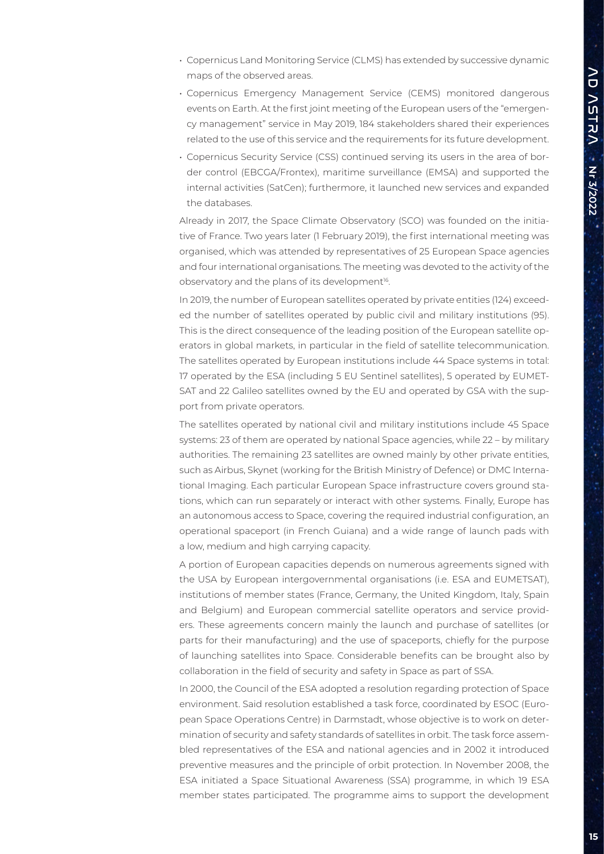- Copernicus Land Monitoring Service (CLMS) has extended by successive dynamic maps of the observed areas.
- Copernicus Emergency Management Service (CEMS) monitored dangerous events on Earth. At the first joint meeting of the European users of the "emergency management" service in May 2019, 184 stakeholders shared their experiences related to the use of this service and the requirements for its future development.
- Copernicus Security Service (CSS) continued serving its users in the area of border control (EBCGA/Frontex), maritime surveillance (EMSA) and supported the internal activities (SatCen); furthermore, it launched new services and expanded the databases.

Already in 2017, the Space Climate Observatory (SCO) was founded on the initiative of France. Two years later (1 February 2019), the first international meeting was organised, which was attended by representatives of 25 European Space agencies and four international organisations. The meeting was devoted to the activity of the observatory and the plans of its development<sup>16</sup>.

In 2019, the number of European satellites operated by private entities (124) exceeded the number of satellites operated by public civil and military institutions (95). This is the direct consequence of the leading position of the European satellite operators in global markets, in particular in the field of satellite telecommunication. The satellites operated by European institutions include 44 Space systems in total: 17 operated by the ESA (including 5 EU Sentinel satellites), 5 operated by EUMET-SAT and 22 Galileo satellites owned by the EU and operated by GSA with the support from private operators.

The satellites operated by national civil and military institutions include 45 Space systems: 23 of them are operated by national Space agencies, while 22 – by military authorities. The remaining 23 satellites are owned mainly by other private entities, such as Airbus, Skynet (working for the British Ministry of Defence) or DMC International Imaging. Each particular European Space infrastructure covers ground stations, which can run separately or interact with other systems. Finally, Europe has an autonomous access to Space, covering the required industrial configuration, an operational spaceport (in French Guiana) and a wide range of launch pads with a low, medium and high carrying capacity.

A portion of European capacities depends on numerous agreements signed with the USA by European intergovernmental organisations (i.e. ESA and EUMETSAT), institutions of member states (France, Germany, the United Kingdom, Italy, Spain and Belgium) and European commercial satellite operators and service providers. These agreements concern mainly the launch and purchase of satellites (or parts for their manufacturing) and the use of spaceports, chiefly for the purpose of launching satellites into Space. Considerable benefits can be brought also by collaboration in the field of security and safety in Space as part of SSA.

In 2000, the Council of the ESA adopted a resolution regarding protection of Space environment. Said resolution established a task force, coordinated by ESOC (European Space Operations Centre) in Darmstadt, whose objective is to work on determination of security and safety standards of satellites in orbit. The task force assembled representatives of the ESA and national agencies and in 2002 it introduced preventive measures and the principle of orbit protection. In November 2008, the ESA initiated a Space Situational Awareness (SSA) programme, in which 19 ESA member states participated. The programme aims to support the development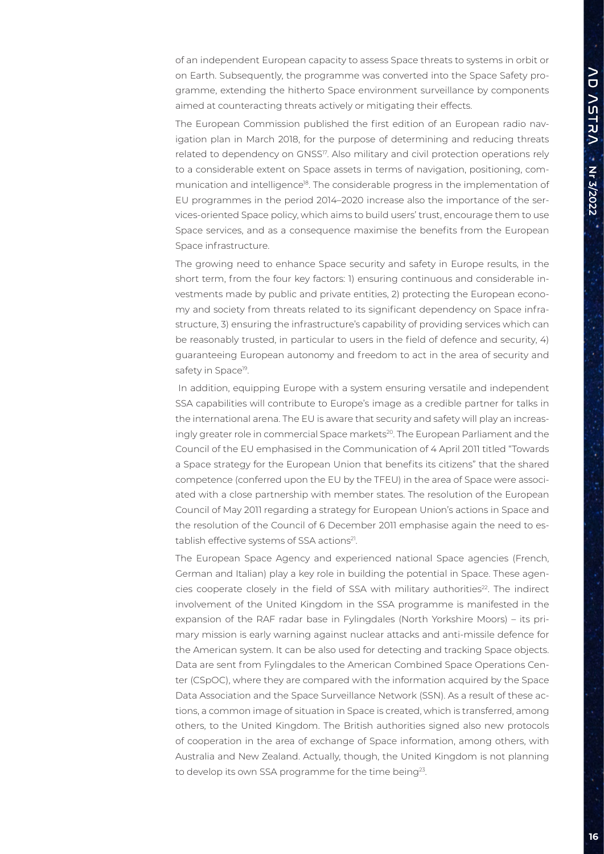of an independent European capacity to assess Space threats to systems in orbit or on Earth. Subsequently, the programme was converted into the Space Safety programme, extending the hitherto Space environment surveillance by components aimed at counteracting threats actively or mitigating their effects.

The European Commission published the first edition of an European radio navigation plan in March 2018, for the purpose of determining and reducing threats related to dependency on GNSS<sup>17</sup>. Also military and civil protection operations rely to a considerable extent on Space assets in terms of navigation, positioning, communication and intelligence18. The considerable progress in the implementation of EU programmes in the period 2014–2020 increase also the importance of the services-oriented Space policy, which aims to build users' trust, encourage them to use Space services, and as a consequence maximise the benefits from the European Space infrastructure.

The growing need to enhance Space security and safety in Europe results, in the short term, from the four key factors: 1) ensuring continuous and considerable investments made by public and private entities, 2) protecting the European economy and society from threats related to its significant dependency on Space infrastructure, 3) ensuring the infrastructure's capability of providing services which can be reasonably trusted, in particular to users in the field of defence and security, 4) guaranteeing European autonomy and freedom to act in the area of security and safety in Space<sup>19</sup>.

 In addition, equipping Europe with a system ensuring versatile and independent SSA capabilities will contribute to Europe's image as a credible partner for talks in the international arena. The EU is aware that security and safety will play an increasingly greater role in commercial Space markets<sup>20</sup>. The European Parliament and the Council of the EU emphasised in the Communication of 4 April 2011 titled "Towards a Space strategy for the European Union that benefits its citizens" that the shared competence (conferred upon the EU by the TFEU) in the area of Space were associated with a close partnership with member states. The resolution of the European Council of May 2011 regarding a strategy for European Union's actions in Space and the resolution of the Council of 6 December 2011 emphasise again the need to establish effective systems of SSA actions<sup>21</sup>.

The European Space Agency and experienced national Space agencies (French, German and Italian) play a key role in building the potential in Space. These agencies cooperate closely in the field of SSA with military authorities<sup>22</sup>. The indirect involvement of the United Kingdom in the SSA programme is manifested in the expansion of the RAF radar base in Fylingdales (North Yorkshire Moors) – its primary mission is early warning against nuclear attacks and anti-missile defence for the American system. It can be also used for detecting and tracking Space objects. Data are sent from Fylingdales to the American Combined Space Operations Center (CSpOC), where they are compared with the information acquired by the Space Data Association and the Space Surveillance Network (SSN). As a result of these actions, a common image of situation in Space is created, which is transferred, among others, to the United Kingdom. The British authorities signed also new protocols of cooperation in the area of exchange of Space information, among others, with Australia and New Zealand. Actually, though, the United Kingdom is not planning to develop its own SSA programme for the time being<sup>23</sup>.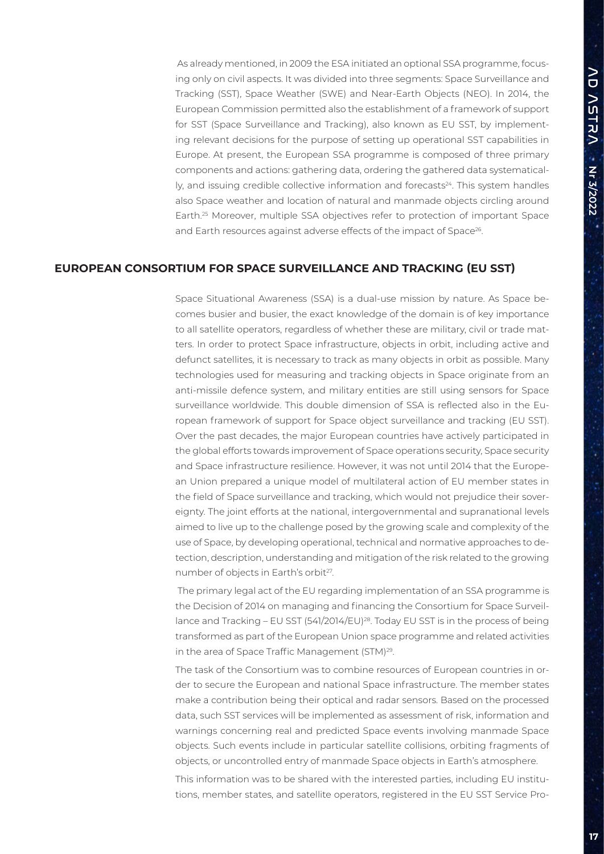As already mentioned, in 2009 the ESA initiated an optional SSA programme, focusing only on civil aspects. It was divided into three segments: Space Surveillance and Tracking (SST), Space Weather (SWE) and Near-Earth Objects (NEO). In 2014, the European Commission permitted also the establishment of a framework of support for SST (Space Surveillance and Tracking), also known as EU SST, by implementing relevant decisions for the purpose of setting up operational SST capabilities in Europe. At present, the European SSA programme is composed of three primary components and actions: gathering data, ordering the gathered data systematical- $Iy$ , and issuing credible collective information and forecasts $24$ . This system handles also Space weather and location of natural and manmade objects circling around Earth.25 Moreover, multiple SSA objectives refer to protection of important Space and Earth resources against adverse effects of the impact of Space<sup>26</sup>.

#### **EUROPEAN CONSORTIUM FOR SPACE SURVEILLANCE AND TRACKING (EU SST)**

Space Situational Awareness (SSA) is a dual-use mission by nature. As Space becomes busier and busier, the exact knowledge of the domain is of key importance to all satellite operators, regardless of whether these are military, civil or trade matters. In order to protect Space infrastructure, objects in orbit, including active and defunct satellites, it is necessary to track as many objects in orbit as possible. Many technologies used for measuring and tracking objects in Space originate from an anti-missile defence system, and military entities are still using sensors for Space surveillance worldwide. This double dimension of SSA is reflected also in the European framework of support for Space object surveillance and tracking (EU SST). Over the past decades, the major European countries have actively participated in the global efforts towards improvement of Space operations security, Space security and Space infrastructure resilience. However, it was not until 2014 that the European Union prepared a unique model of multilateral action of EU member states in the field of Space surveillance and tracking, which would not prejudice their sovereignty. The joint efforts at the national, intergovernmental and supranational levels aimed to live up to the challenge posed by the growing scale and complexity of the use of Space, by developing operational, technical and normative approaches to detection, description, understanding and mitigation of the risk related to the growing number of objects in Earth's orbit<sup>27</sup>.

 The primary legal act of the EU regarding implementation of an SSA programme is the Decision of 2014 on managing and financing the Consortium for Space Surveillance and Tracking – EU SST (541/2014/EU)<sup>28</sup>. Today EU SST is in the process of being transformed as part of the European Union space programme and related activities in the area of Space Traffic Management (STM)29.

The task of the Consortium was to combine resources of European countries in order to secure the European and national Space infrastructure. The member states make a contribution being their optical and radar sensors. Based on the processed data, such SST services will be implemented as assessment of risk, information and warnings concerning real and predicted Space events involving manmade Space objects. Such events include in particular satellite collisions, orbiting fragments of objects, or uncontrolled entry of manmade Space objects in Earth's atmosphere.

This information was to be shared with the interested parties, including EU institutions, member states, and satellite operators, registered in the EU SST Service Pro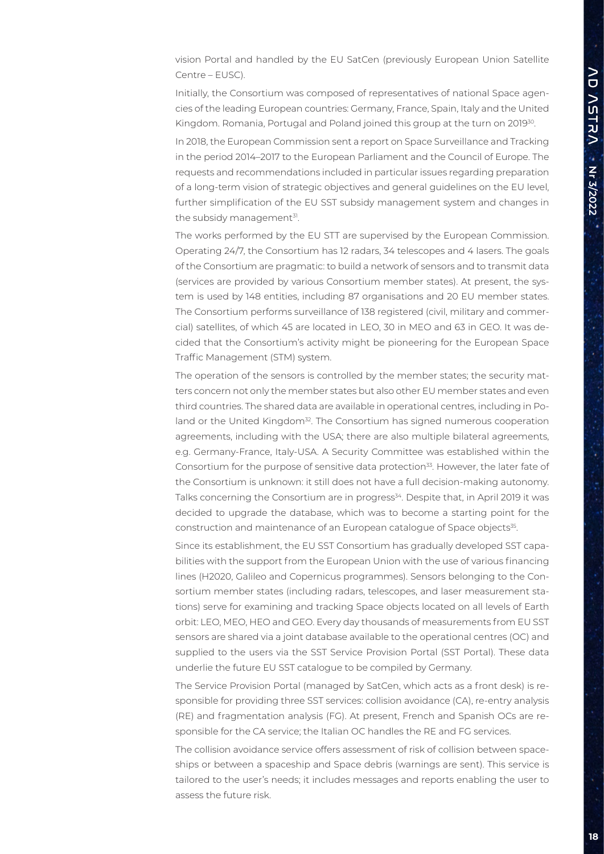vision Portal and handled by the EU SatCen (previously European Union Satellite Centre – EUSC).

Initially, the Consortium was composed of representatives of national Space agencies of the leading European countries: Germany, France, Spain, Italy and the United Kingdom. Romania, Portugal and Poland joined this group at the turn on 2019<sup>30</sup>.

In 2018, the European Commission sent a report on Space Surveillance and Tracking in the period 2014–2017 to the European Parliament and the Council of Europe. The requests and recommendations included in particular issues regarding preparation of a long-term vision of strategic objectives and general guidelines on the EU level, further simplification of the EU SST subsidy management system and changes in the subsidy management<sup>31</sup>.

The works performed by the EU STT are supervised by the European Commission. Operating 24/7, the Consortium has 12 radars, 34 telescopes and 4 lasers. The goals of the Consortium are pragmatic: to build a network of sensors and to transmit data (services are provided by various Consortium member states). At present, the system is used by 148 entities, including 87 organisations and 20 EU member states. The Consortium performs surveillance of 138 registered (civil, military and commercial) satellites, of which 45 are located in LEO, 30 in MEO and 63 in GEO. It was decided that the Consortium's activity might be pioneering for the European Space Traffic Management (STM) system.

The operation of the sensors is controlled by the member states; the security matters concern not only the member states but also other EU member states and even third countries. The shared data are available in operational centres, including in Poland or the United Kingdom<sup>32</sup>. The Consortium has signed numerous cooperation agreements, including with the USA; there are also multiple bilateral agreements, e.g. Germany-France, Italy-USA. A Security Committee was established within the Consortium for the purpose of sensitive data protection<sup>33</sup>. However, the later fate of the Consortium is unknown: it still does not have a full decision-making autonomy. Talks concerning the Consortium are in progress<sup>34</sup>. Despite that, in April 2019 it was decided to upgrade the database, which was to become a starting point for the construction and maintenance of an European catalogue of Space objects<sup>35</sup>.

Since its establishment, the EU SST Consortium has gradually developed SST capabilities with the support from the European Union with the use of various financing lines (H2020, Galileo and Copernicus programmes). Sensors belonging to the Consortium member states (including radars, telescopes, and laser measurement stations) serve for examining and tracking Space objects located on all levels of Earth orbit: LEO, MEO, HEO and GEO. Every day thousands of measurements from EU SST sensors are shared via a joint database available to the operational centres (OC) and supplied to the users via the SST Service Provision Portal (SST Portal). These data underlie the future EU SST catalogue to be compiled by Germany.

The Service Provision Portal (managed by SatCen, which acts as a front desk) is responsible for providing three SST services: collision avoidance (CA), re-entry analysis (RE) and fragmentation analysis (FG). At present, French and Spanish OCs are responsible for the CA service; the Italian OC handles the RE and FG services.

The collision avoidance service offers assessment of risk of collision between spaceships or between a spaceship and Space debris (warnings are sent). This service is tailored to the user's needs; it includes messages and reports enabling the user to assess the future risk.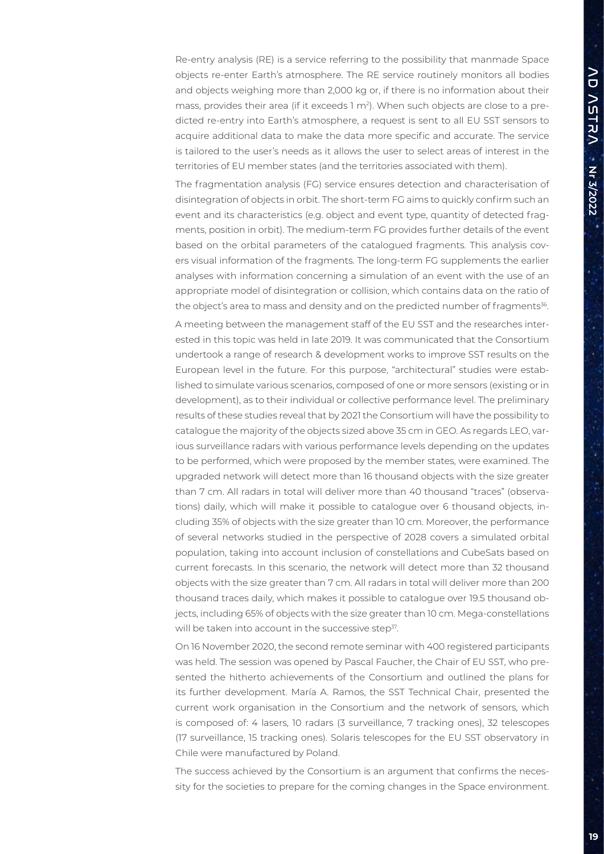Re-entry analysis (RE) is a service referring to the possibility that manmade Space objects re-enter Earth's atmosphere. The RE service routinely monitors all bodies and objects weighing more than 2,000 kg or, if there is no information about their mass, provides their area (if it exceeds  $1 \text{ m}^2$ ). When such objects are close to a predicted re-entry into Earth's atmosphere, a request is sent to all EU SST sensors to acquire additional data to make the data more specific and accurate. The service is tailored to the user's needs as it allows the user to select areas of interest in the territories of EU member states (and the territories associated with them).

The fragmentation analysis (FG) service ensures detection and characterisation of disintegration of objects in orbit. The short-term FG aims to quickly confirm such an event and its characteristics (e.g. object and event type, quantity of detected fragments, position in orbit). The medium-term FG provides further details of the event based on the orbital parameters of the catalogued fragments. This analysis covers visual information of the fragments. The long-term FG supplements the earlier analyses with information concerning a simulation of an event with the use of an appropriate model of disintegration or collision, which contains data on the ratio of the object's area to mass and density and on the predicted number of fragments<sup>36</sup>.

A meeting between the management staff of the EU SST and the researches interested in this topic was held in late 2019. It was communicated that the Consortium undertook a range of research & development works to improve SST results on the European level in the future. For this purpose, "architectural" studies were established to simulate various scenarios, composed of one or more sensors (existing or in development), as to their individual or collective performance level. The preliminary results of these studies reveal that by 2021 the Consortium will have the possibility to catalogue the majority of the objects sized above 35 cm in GEO. As regards LEO, various surveillance radars with various performance levels depending on the updates to be performed, which were proposed by the member states, were examined. The upgraded network will detect more than 16 thousand objects with the size greater than 7 cm. All radars in total will deliver more than 40 thousand "traces" (observations) daily, which will make it possible to catalogue over 6 thousand objects, including 35% of objects with the size greater than 10 cm. Moreover, the performance of several networks studied in the perspective of 2028 covers a simulated orbital population, taking into account inclusion of constellations and CubeSats based on current forecasts. In this scenario, the network will detect more than 32 thousand objects with the size greater than 7 cm. All radars in total will deliver more than 200 thousand traces daily, which makes it possible to catalogue over 19.5 thousand objects, including 65% of objects with the size greater than 10 cm. Mega-constellations will be taken into account in the successive step<sup>37</sup>.

On 16 November 2020, the second remote seminar with 400 registered participants was held. The session was opened by Pascal Faucher, the Chair of EU SST, who presented the hitherto achievements of the Consortium and outlined the plans for its further development. María A. Ramos, the SST Technical Chair, presented the current work organisation in the Consortium and the network of sensors, which is composed of: 4 lasers, 10 radars (3 surveillance, 7 tracking ones), 32 telescopes (17 surveillance, 15 tracking ones). Solaris telescopes for the EU SST observatory in Chile were manufactured by Poland.

The success achieved by the Consortium is an argument that confirms the necessity for the societies to prepare for the coming changes in the Space environment.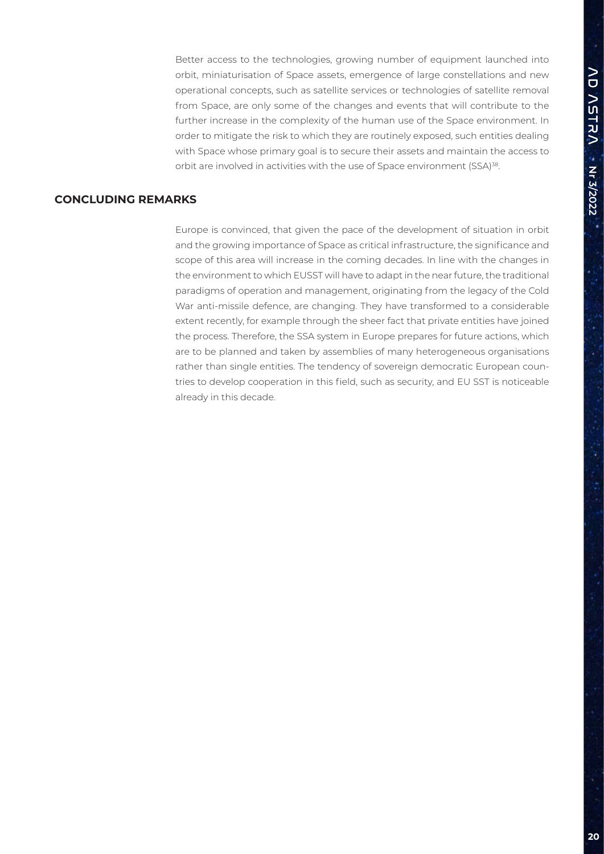Better access to the technologies, growing number of equipment launched into orbit, miniaturisation of Space assets, emergence of large constellations and new operational concepts, such as satellite services or technologies of satellite removal from Space, are only some of the changes and events that will contribute to the further increase in the complexity of the human use of the Space environment. In order to mitigate the risk to which they are routinely exposed, such entities dealing with Space whose primary goal is to secure their assets and maintain the access to orbit are involved in activities with the use of Space environment (SSA)<sup>38</sup>.

# **CONCLUDING REMARKS**

Europe is convinced, that given the pace of the development of situation in orbit and the growing importance of Space as critical infrastructure, the significance and scope of this area will increase in the coming decades. In line with the changes in the environment to which EUSST will have to adapt in the near future, the traditional paradigms of operation and management, originating from the legacy of the Cold War anti-missile defence, are changing. They have transformed to a considerable extent recently, for example through the sheer fact that private entities have joined the process. Therefore, the SSA system in Europe prepares for future actions, which are to be planned and taken by assemblies of many heterogeneous organisations rather than single entities. The tendency of sovereign democratic European countries to develop cooperation in this field, such as security, and EU SST is noticeable already in this decade.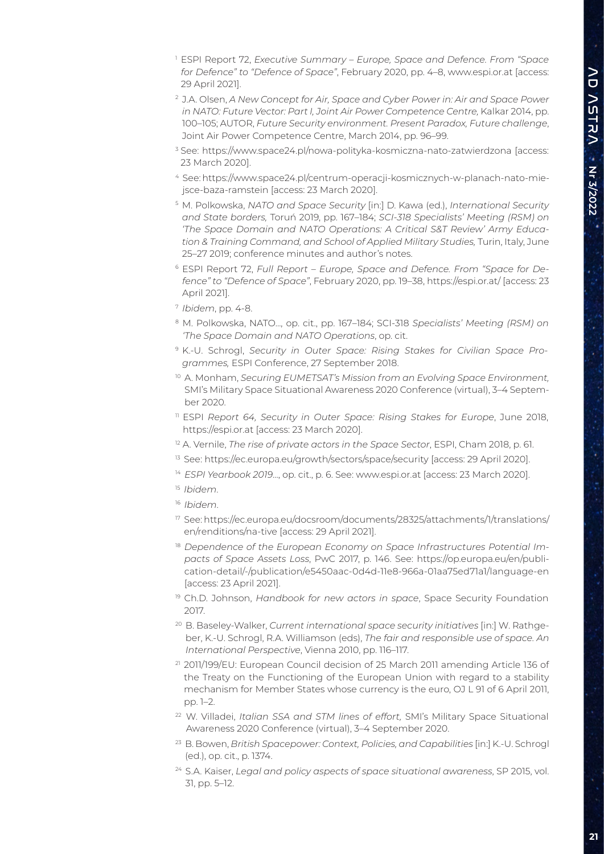- 1 ESPI Report 72, *Executive Summary Europe, Space and Defence. From "Space for Defence" to "Defence of Space"*, February 2020, pp. 4–8, www.espi.or.at [access: 29 April 2021].
- 2 J.A. Olsen, *A New Concept for Air, Space and Cyber Power in: Air and Space Power in NATO: Future Vector: Part I, Joint Air Power Competence Centre, Kalkar 2014, pp.* 100–105; AUTOR, *Future Security environment. Present Paradox, Future challenge*, Joint Air Power Competence Centre, March 2014, pp. 96–99.
- <sup>3</sup> See: https://www.space24.pl/nowa-polityka-kosmiczna-nato-zatwierdzona [access: 23 March 2020].
- 4 See: https://www.space24.pl/centrum-operacji-kosmicznych-w-planach-nato-miejsce-baza-ramstein [access: 23 March 2020].
- 5 M. Polkowska, *NATO and Space Security* [in:] D. Kawa (ed.), *International Security and State borders,* Toruń 2019, pp. 167–184; *SCI-318 Specialists' Meeting (RSM) on 'The Space Domain and NATO Operations: A Critical S&T Review' Army Education & Training Command, and School of Applied Military Studies,* Turin, Italy, June 25–27 2019; conference minutes and author's notes.
- 6 ESPI Report 72, *Full Report Europe, Space and Defence. From "Space for Defence" to "Defence of Space"*, February 2020, pp. 19–38, https://espi.or.at/ [access: 23 April 2021].
- <sup>7</sup>*Ibidem*, pp. 4-8.
- 8 M. Polkowska, NATO..., op. cit., pp. 167–184; SCI-318 *Specialists' Meeting (RSM) on 'The Space Domain and NATO Operations*, op. cit.
- 9 K.-U. Schrogl, *Security in Outer Space: Rising Stakes for Civilian Space Programmes,* ESPI Conference, 27 September 2018.
- <sup>10</sup> A. Monham, Securing EUMETSAT's Mission from an Evolving Space Environment, SMI's Military Space Situational Awareness 2020 Conference (virtual), 3–4 September 2020.
- <sup>11</sup> ESPI Report 64, Security in Outer Space: Rising Stakes for Europe, June 2018, https://espi.or.at [access: 23 March 2020].
- <sup>12</sup> A. Vernile, *The rise of private actors in the Space Sector*, ESPI, Cham 2018, p. 61.
- <sup>13</sup> See: https://ec.europa.eu/growth/sectors/space/security [access: 29 April 2020].
- <sup>14</sup> ESPI Yearbook 2019..., op. cit., p. 6. See: www.espi.or.at [access: 23 March 2020].
- <sup>15</sup>*Ibidem*.
- <sup>16</sup>*Ibidem*.
- 17 See: https://ec.europa.eu/docsroom/documents/28325/attachments/1/translations/ en/renditions/na-tive [access: 29 April 2021].
- <sup>18</sup> Dependence of the European Economy on Space Infrastructures Potential Im*pacts of Space Assets Loss*, PwC 2017, p. 146. See: https://op.europa.eu/en/publication-detail/-/publication/e5450aac-0d4d-11e8-966a-01aa75ed71a1/language-en [access: 23 April 2021].
- 19 Ch.D. Johnson, *Handbook for new actors in space*, Space Security Foundation 2017.
- 20 B. Baseley-Walker, *Current international space security initiatives* [in:] W. Rathgeber, K.-U. Schrogl, R.A. Williamson (eds), *The fair and responsible use of space. An International Perspective*, Vienna 2010, pp. 116–117.
- 21 2011/199/EU: European Council decision of 25 March 2011 amending Article 136 of the Treaty on the Functioning of the European Union with regard to a stability mechanism for Member States whose currency is the euro, OJ L 91 of 6 April 2011, pp. 1–2.
- 22 W. Villadei, *Italian SSA and STM lines of effort,* SMI's Military Space Situational Awareness 2020 Conference (virtual), 3–4 September 2020.
- 23 B. Bowen, *British Spacepower: Context, Policies, and Capabilities* [in:] K.-U. Schrogl (ed.), op. cit., p. 1374.
- 24 S.A. Kaiser, *Legal and policy aspects of space situational awareness*, SP 2015, vol. 31, pp. 5–12.